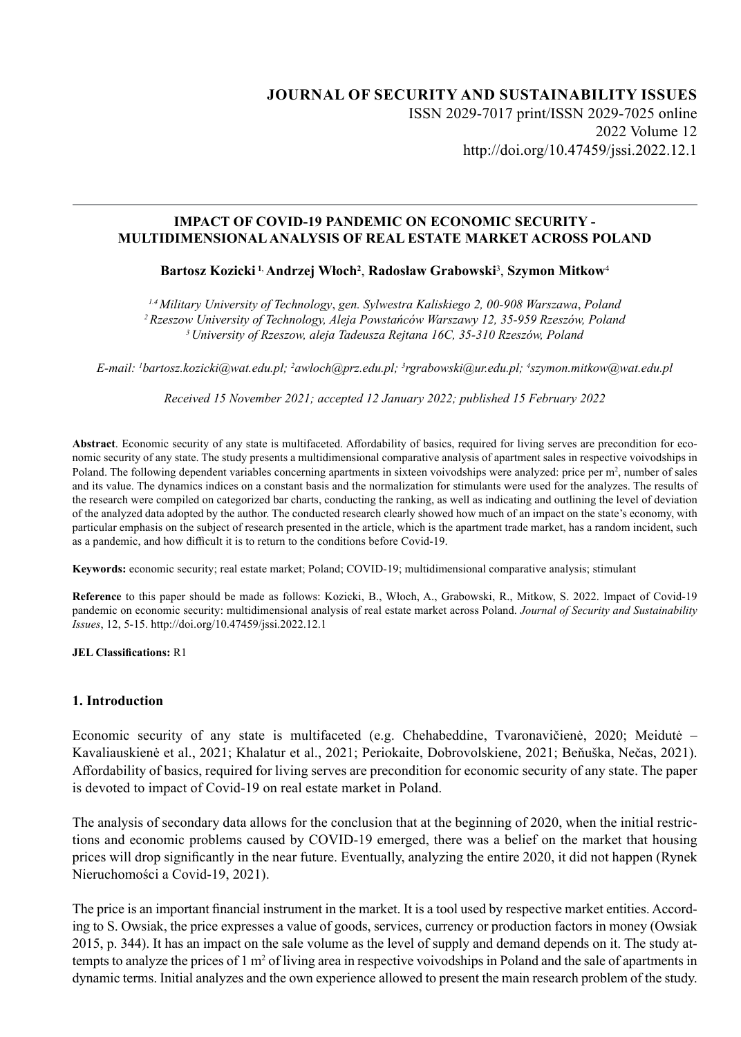# **JOURNAL OF SECURITY AND SUSTAINABILITY ISSUES** ISSN 2029-7017 print/ISSN 2029-7025 online 2022 Volume 12 http://doi.org/10.47459/jssi.2022.12.1

### **IMPACT OF COVID-19 PANDEMIC ON ECONOMIC SECURITY - MULTIDIMENSIONAL ANALYSIS OF REAL ESTATE MARKET ACROSS POLAND**

## **Bartosz Kozicki 1**, **Andrzej Włoch<sup>2</sup>** , **Radosław Grabowski**<sup>3</sup> , **Szymon Mitkow**<sup>4</sup>

*1.4 Military University of Technology*, *gen. Sylwestra Kaliskiego 2, 00-908 Warszawa*, *Poland <sup>2</sup>Rzeszow University of Technology, Aleja Powstańców Warszawy 12, 35-959 Rzeszów, Poland <sup>3</sup>University of Rzeszow, aleja Tadeusza Rejtana 16C, 35-310 Rzeszów, Poland*

*E-mail: 1 bartosz.kozicki@wat.edu.pl; 2 awloch@prz.edu.pl; <sup>3</sup> rgrabowski@ur.edu.pl; 4 szymon.mitkow@wat.edu.pl* 

*Received 15 November 2021; accepted 12 January 2022; published 15 February 2022*

**Abstract**. Economic security of any state is multifaceted. Affordability of basics, required for living serves are precondition for economic security of any state. The study presents a multidimensional comparative analysis of apartment sales in respective voivodships in Poland. The following dependent variables concerning apartments in sixteen voivodships were analyzed: price per m<sup>2</sup>, number of sales and its value. The dynamics indices on a constant basis and the normalization for stimulants were used for the analyzes. The results of the research were compiled on categorized bar charts, conducting the ranking, as well as indicating and outlining the level of deviation of the analyzed data adopted by the author. The conducted research clearly showed how much of an impact on the state's economy, with particular emphasis on the subject of research presented in the article, which is the apartment trade market, has a random incident, such as a pandemic, and how difficult it is to return to the conditions before Covid-19.

**Keywords:** economic security; real estate market; Poland; COVID-19; multidimensional comparative analysis; stimulant

**Reference** to this paper should be made as follows: Kozicki, B., Włoch, A., Grabowski, R., Mitkow, S. 2022. Impact of Covid-19 pandemic on economic security: multidimensional analysis of real estate market across Poland. *Journal of Security and Sustainability Issues*, 12, 5-15. http://doi.org/10.47459/jssi.2022.12.1

**JEL Classifications:** R1

#### **1. Introduction**

Economic security of any state is multifaceted (e.g. Chehabeddine, Tvaronavičienė, 2020; Meidutė – Kavaliauskienė et al., 2021; Khalatur et al., 2021; Periokaite, Dobrovolskiene, 2021; Beňuška, Nečas, 2021). Affordability of basics, required for living serves are precondition for economic security of any state. The paper is devoted to impact of Covid-19 on real estate market in Poland.

The analysis of secondary data allows for the conclusion that at the beginning of 2020, when the initial restrictions and economic problems caused by COVID-19 emerged, there was a belief on the market that housing prices will drop significantly in the near future. Eventually, analyzing the entire 2020, it did not happen (Rynek Nieruchomości a Covid-19, 2021).

The price is an important financial instrument in the market. It is a tool used by respective market entities. According to S. Owsiak, the price expresses a value of goods, services, currency or production factors in money (Owsiak 2015, p. 344). It has an impact on the sale volume as the level of supply and demand depends on it. The study attempts to analyze the prices of  $1 \text{ m}^2$  of living area in respective voivodships in Poland and the sale of apartments in dynamic terms. Initial analyzes and the own experience allowed to present the main research problem of the study.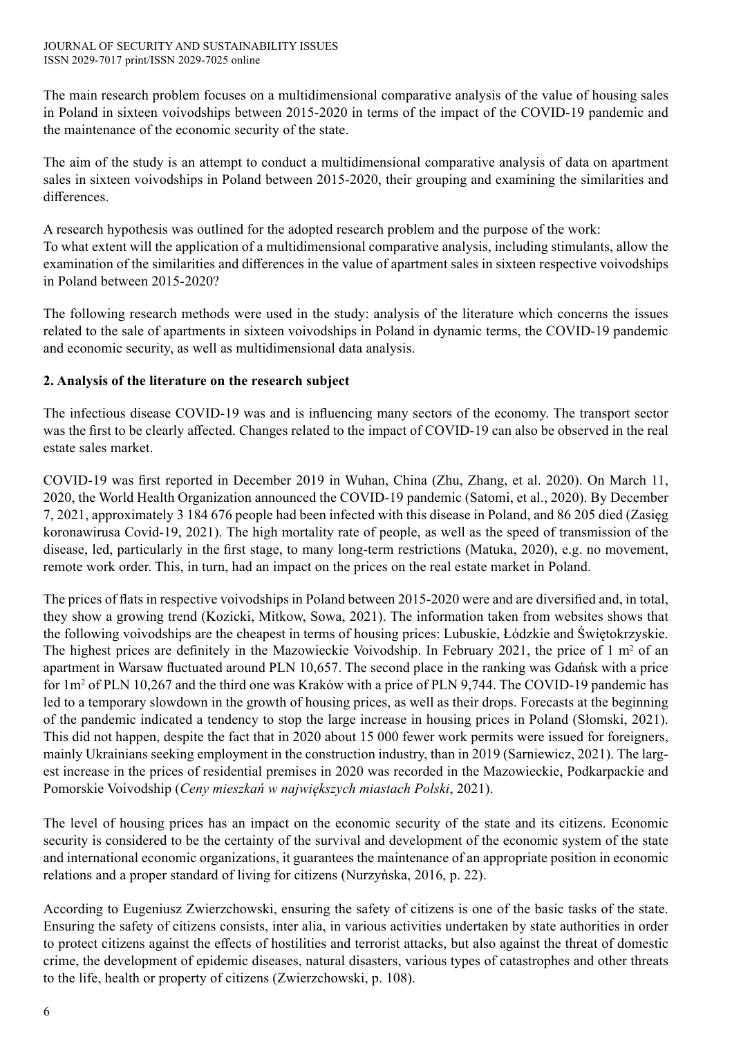The main research problem focuses on a multidimensional comparative analysis of the value of housing sales in Poland in sixteen voivodships between 2015-2020 in terms of the impact of the COVID-19 pandemic and the maintenance of the economic security of the state.

The aim of the study is an attempt to conduct a multidimensional comparative analysis of data on apartment sales in sixteen voivodships in Poland between 2015-2020, their grouping and examining the similarities and differences.

A research hypothesis was outlined for the adopted research problem and the purpose of the work: To what extent will the application of a multidimensional comparative analysis, including stimulants, allow the examination of the similarities and differences in the value of apartment sales in sixteen respective voivodships in Poland between 2015-2020?

The following research methods were used in the study: analysis of the literature which concerns the issues related to the sale of apartments in sixteen voivodships in Poland in dynamic terms, the COVID-19 pandemic and economic security, as well as multidimensional data analysis.

# **2. Analysis of the literature on the research subject**

The infectious disease COVID-19 was and is influencing many sectors of the economy. The transport sector was the first to be clearly affected. Changes related to the impact of COVID-19 can also be observed in the real estate sales market.

COVID-19 was first reported in December 2019 in Wuhan, China (Zhu, Zhang, et al. 2020). On March 11, 2020, the World Health Organization announced the COVID-19 pandemic (Satomi, et al., 2020). By December 7, 2021, approximately 3 184 676 people had been infected with this disease in Poland, and 86 205 died (Zasięg koronawirusa Covid-19, 2021). The high mortality rate of people, as well as the speed of transmission of the disease, led, particularly in the first stage, to many long-term restrictions (Matuka, 2020), e.g. no movement, remote work order. This, in turn, had an impact on the prices on the real estate market in Poland.

The prices of flats in respective voivodships in Poland between 2015-2020 were and are diversified and, in total, they show a growing trend (Kozicki, Mitkow, Sowa, 2021). The information taken from websites shows that the following voivodships are the cheapest in terms of housing prices: Lubuskie, Łódzkie and Świętokrzyskie. The highest prices are definitely in the Mazowieckie Voivodship. In February 2021, the price of  $1 \text{ m}^2$  of an apartment in Warsaw fluctuated around PLN 10,657. The second place in the ranking was Gdańsk with a price for 1m<sup>2</sup> of PLN 10,267 and the third one was Kraków with a price of PLN 9,744. The COVID-19 pandemic has led to a temporary slowdown in the growth of housing prices, as well as their drops. Forecasts at the beginning of the pandemic indicated a tendency to stop the large increase in housing prices in Poland (Słomski, 2021). This did not happen, despite the fact that in 2020 about 15 000 fewer work permits were issued for foreigners, mainly Ukrainians seeking employment in the construction industry, than in 2019 (Sarniewicz, 2021). The largest increase in the prices of residential premises in 2020 was recorded in the Mazowieckie, Podkarpackie and Pomorskie Voivodship (*Ceny mieszkań w największych miastach Polski*, 2021).

The level of housing prices has an impact on the economic security of the state and its citizens. Economic security is considered to be the certainty of the survival and development of the economic system of the state and international economic organizations, it guarantees the maintenance of an appropriate position in economic relations and a proper standard of living for citizens (Nurzyńska, 2016, p. 22).

According to Eugeniusz Zwierzchowski, ensuring the safety of citizens is one of the basic tasks of the state. Ensuring the safety of citizens consists, inter alia, in various activities undertaken by state authorities in order to protect citizens against the effects of hostilities and terrorist attacks, but also against the threat of domestic crime, the development of epidemic diseases, natural disasters, various types of catastrophes and other threats to the life, health or property of citizens (Zwierzchowski, p. 108).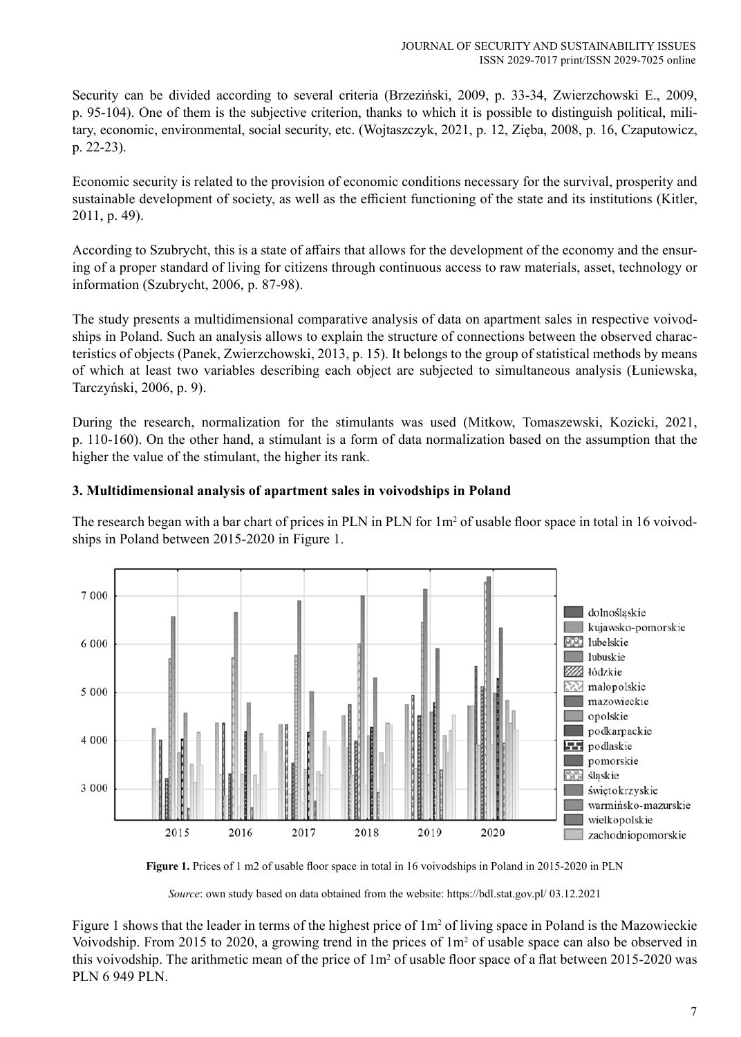Security can be divided according to several criteria (Brzeziński, 2009, p. 33-34, Zwierzchowski E., 2009, p. 95‑104). One of them is the subjective criterion, thanks to which it is possible to distinguish political, military, economic, environmental, social security, etc. (Wojtaszczyk, 2021, p. 12, Zięba, 2008, p. 16, Czaputowicz, p. 22‑23).

Economic security is related to the provision of economic conditions necessary for the survival, prosperity and sustainable development of society, as well as the efficient functioning of the state and its institutions (Kitler, 2011, p. 49).

According to Szubrycht, this is a state of affairs that allows for the development of the economy and the ensuring of a proper standard of living for citizens through continuous access to raw materials, asset, technology or information (Szubrycht, 2006, p. 87-98).

The study presents a multidimensional comparative analysis of data on apartment sales in respective voivodships in Poland. Such an analysis allows to explain the structure of connections between the observed characteristics of objects (Panek, Zwierzchowski, 2013, p. 15). It belongs to the group of statistical methods by means of which at least two variables describing each object are subjected to simultaneous analysis (Łuniewska, Tarczyński, 2006, p. 9).

During the research, normalization for the stimulants was used (Mitkow, Tomaszewski, Kozicki, 2021, p. 110‑160). On the other hand, a stimulant is a form of data normalization based on the assumption that the higher the value of the stimulant, the higher its rank.

## **3. Multidimensional analysis of apartment sales in voivodships in Poland**

The research began with a bar chart of prices in PLN in PLN for  $1m<sup>2</sup>$  of usable floor space in total in 16 voivodships in Poland between 2015-2020 in Figure 1.



**Figure 1.** Prices of 1 m2 of usable floor space in total in 16 voivodships in Poland in 2015-2020 in PLN

*Source*: own study based on data obtained from the website: https://bdl.stat.gov.pl/ 03.12.2021

Figure 1 shows that the leader in terms of the highest price of  $1m<sup>2</sup>$  of living space in Poland is the Mazowieckie Voivodship. From 2015 to 2020, a growing trend in the prices of 1m<sup>2</sup> of usable space can also be observed in this voivodship. The arithmetic mean of the price of  $1m^2$  of usable floor space of a flat between 2015-2020 was PLN 6 949 PLN.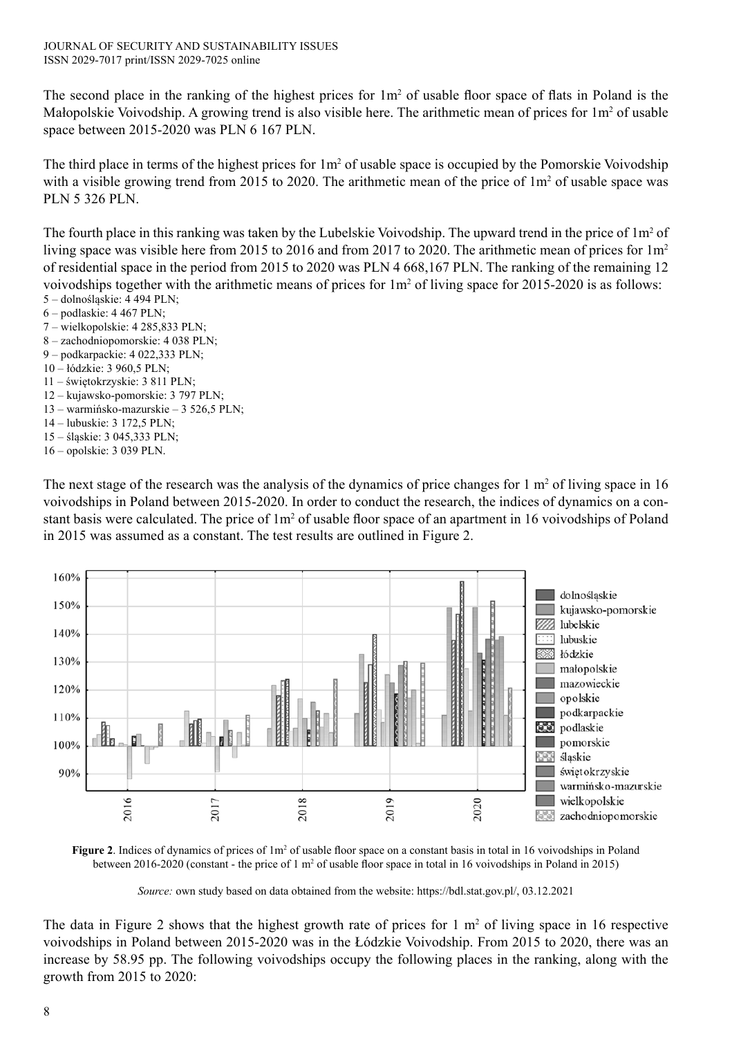The second place in the ranking of the highest prices for  $1m^2$  of usable floor space of flats in Poland is the Małopolskie Voivodship. A growing trend is also visible here. The arithmetic mean of prices for 1m<sup>2</sup> of usable space between 2015-2020 was PLN 6 167 PLN.

The third place in terms of the highest prices for  $1m^2$  of usable space is occupied by the Pomorskie Voivodship with a visible growing trend from 2015 to 2020. The arithmetic mean of the price of  $1m<sup>2</sup>$  of usable space was PLN 5 326 PLN.

The fourth place in this ranking was taken by the Lubelskie Voivodship. The upward trend in the price of  $1m^2$  of living space was visible here from 2015 to 2016 and from 2017 to 2020. The arithmetic mean of prices for 1m<sup>2</sup> of residential space in the period from 2015 to 2020 was PLN 4 668,167 PLN. The ranking of the remaining 12 voivodships together with the arithmetic means of prices for  $1m^2$  of living space for 2015-2020 is as follows: 5 – dolnośląskie: 4 494 PLN;

- 6 podlaskie: 4 467 PLN;
- 7 wielkopolskie: 4 285,833 PLN;
- 8 zachodniopomorskie: 4 038 PLN;
- 9 podkarpackie: 4 022,333 PLN;
- 10 łódzkie: 3 960,5 PLN;
- 11 świętokrzyskie: 3 811 PLN;
- 12 ‒ kujawsko-pomorskie: 3 797 PLN;
- 13 ‒ warmińsko-mazurskie ‒ 3 526,5 PLN;
- 14 lubuskie: 3 172,5 PLN;
- 15 śląskie: 3 045,333 PLN;
- 16 opolskie: 3 039 PLN.

The next stage of the research was the analysis of the dynamics of price changes for  $1 \text{ m}^2$  of living space in 16 voivodships in Poland between 2015-2020. In order to conduct the research, the indices of dynamics on a constant basis were calculated. The price of  $1m^2$  of usable floor space of an apartment in 16 voivodships of Poland in 2015 was assumed as a constant. The test results are outlined in Figure 2.



**Figure 2**. Indices of dynamics of prices of 1m<sup>2</sup> of usable floor space on a constant basis in total in 16 voivodships in Poland between 2016-2020 (constant - the price of 1 m<sup>2</sup> of usable floor space in total in 16 voivodships in Poland in 2015)

*Source:* own study based on data obtained from the website: https://bdl.stat.gov.pl/, 03.12.2021

The data in Figure 2 shows that the highest growth rate of prices for  $1 \text{ m}^2$  of living space in 16 respective voivodships in Poland between 2015-2020 was in the Łódzkie Voivodship. From 2015 to 2020, there was an increase by 58.95 pp. The following voivodships occupy the following places in the ranking, along with the growth from 2015 to 2020: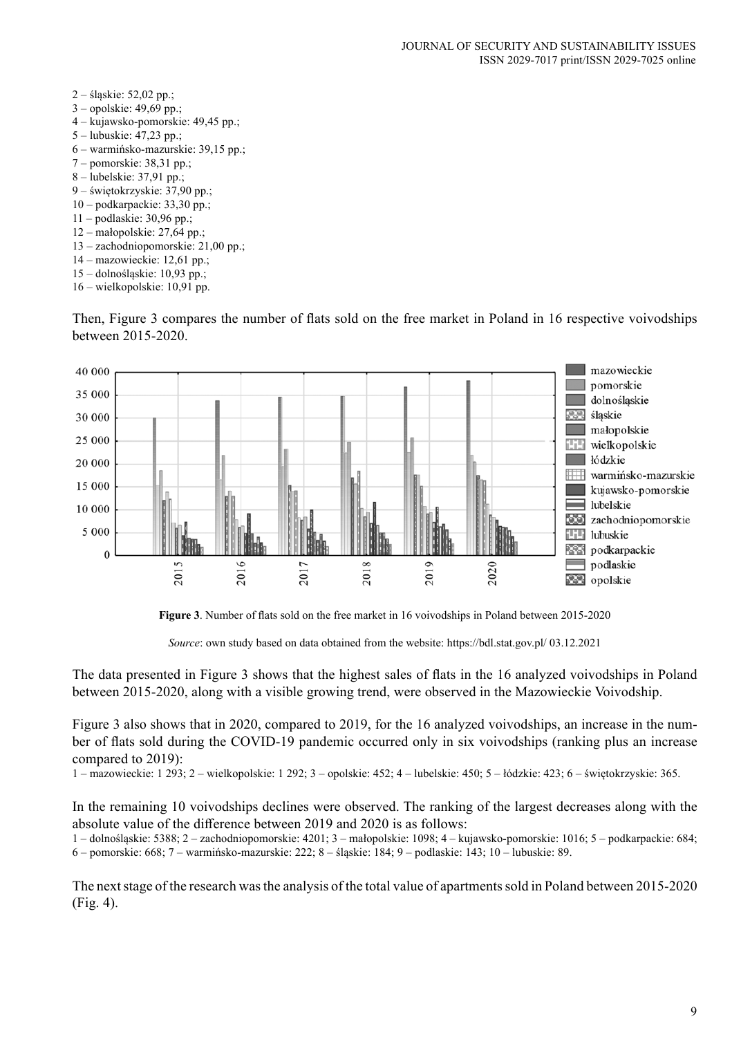2 – śląskie: 52,02 pp.; 3 – opolskie: 49,69 pp.; 4 ‒ kujawsko-pomorskie: 49,45 pp.; 5 – lubuskie: 47,23 pp.; 6 ‒ warmińsko-mazurskie: 39,15 pp.; 7 – pomorskie: 38,31 pp.; 8 – lubelskie: 37,91 pp.; 9 – świętokrzyskie: 37,90 pp.; 10 – podkarpackie: 33,30 pp.; 11 – podlaskie: 30,96 pp.; 12 – małopolskie: 27,64 pp.; 13 – zachodniopomorskie: 21,00 pp.; 14 – mazowieckie: 12,61 pp.; 15 – dolnośląskie: 10,93 pp.; 16 – wielkopolskie: 10,91 pp.

Then, Figure 3 compares the number of flats sold on the free market in Poland in 16 respective voivodships between 2015-2020.





*Source*: own study based on data obtained from the website: https://bdl.stat.gov.pl/ 03.12.2021

The data presented in Figure 3 shows that the highest sales of flats in the 16 analyzed voivodships in Poland between 2015-2020, along with a visible growing trend, were observed in the Mazowieckie Voivodship.

Figure 3 also shows that in 2020, compared to 2019, for the 16 analyzed voivodships, an increase in the number of flats sold during the COVID-19 pandemic occurred only in six voivodships (ranking plus an increase compared to 2019):

1 – mazowieckie: 1 293; 2 – wielkopolskie: 1 292; 3 – opolskie: 452; 4 – lubelskie: 450; 5 – łódzkie: 423; 6 – świętokrzyskie: 365.

In the remaining 10 voivodships declines were observed. The ranking of the largest decreases along with the absolute value of the difference between 2019 and 2020 is as follows:

1 ‒ dolnośląskie: 5388; 2 – zachodniopomorskie: 4201; 3 – małopolskie: 1098; 4 ‒ kujawsko-pomorskie: 1016; 5 – podkarpackie: 684; 6 – pomorskie: 668; 7 ‒ warmińsko-mazurskie: 222; 8 – śląskie: 184; 9 – podlaskie: 143; 10 – lubuskie: 89.

The next stage of the research was the analysis of the total value of apartments sold in Poland between 2015-2020 (Fig. 4).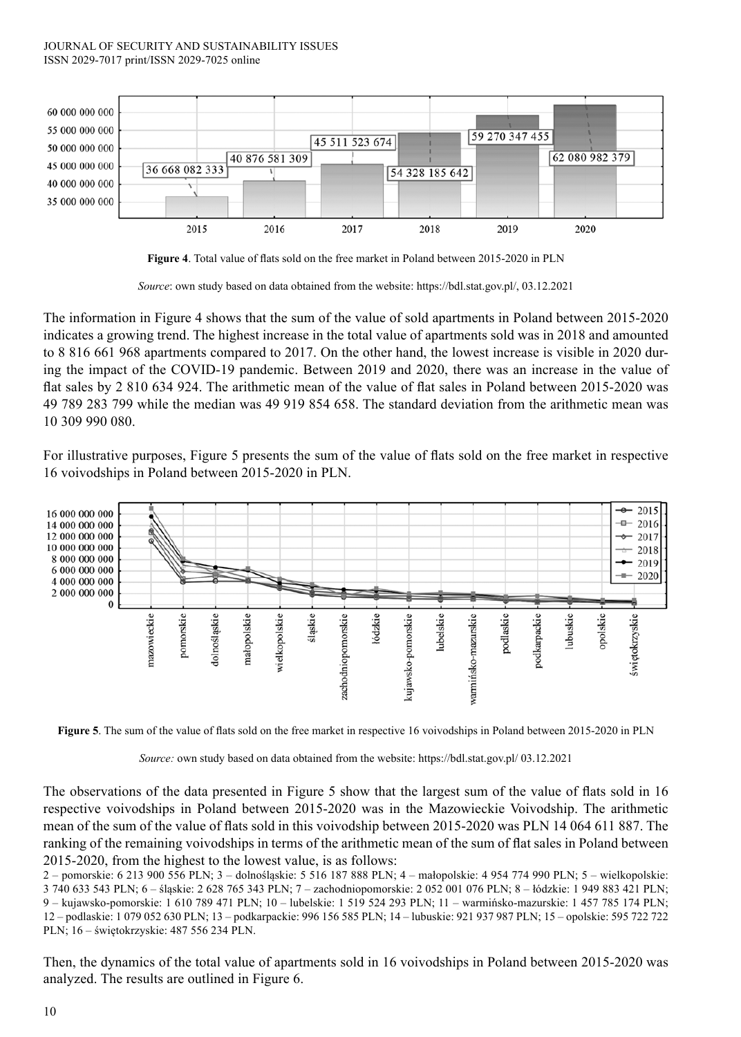#### JOURNAL OF SECURITY AND SUSTAINABILITY ISSUES ISSN 2029-7017 print/ISSN 2029-7025 online



**Figure 4**. Total value of flats sold on the free market in Poland between 2015-2020 in PLN

*Source*: own study based on data obtained from the website: https://bdl.stat.gov.pl/, 03.12.2021

The information in Figure 4 shows that the sum of the value of sold apartments in Poland between 2015-2020 indicates a growing trend. The highest increase in the total value of apartments sold was in 2018 and amounted to 8 816 661 968 apartments compared to 2017. On the other hand, the lowest increase is visible in 2020 during the impact of the COVID-19 pandemic. Between 2019 and 2020, there was an increase in the value of flat sales by 2 810 634 924. The arithmetic mean of the value of flat sales in Poland between 2015-2020 was 49 789 283 799 while the median was 49 919 854 658. The standard deviation from the arithmetic mean was 10 309 990 080.

For illustrative purposes, Figure 5 presents the sum of the value of flats sold on the free market in respective 16 voivodships in Poland between 2015-2020 in PLN.





*Source:* own study based on data obtained from the website: https://bdl.stat.gov.pl/ 03.12.2021

The observations of the data presented in Figure 5 show that the largest sum of the value of flats sold in 16 respective voivodships in Poland between 2015-2020 was in the Mazowieckie Voivodship. The arithmetic mean of the sum of the value of flats sold in this voivodship between 2015-2020 was PLN 14 064 611 887. The ranking of the remaining voivodships in terms of the arithmetic mean of the sum of flat sales in Poland between 2015-2020, from the highest to the lowest value, is as follows:

2 – pomorskie: 6 213 900 556 PLN; 3 ‒ dolnośląskie: 5 516 187 888 PLN; 4 – małopolskie: 4 954 774 990 PLN; 5 – wielkopolskie: 3 740 633 543 PLN; 6 – śląskie: 2 628 765 343 PLN; 7 – zachodniopomorskie: 2 052 001 076 PLN; 8 – łódzkie: 1 949 883 421 PLN; 9 ‒ kujawsko-pomorskie: 1 610 789 471 PLN; 10 – lubelskie: 1 519 524 293 PLN; 11 ‒ warmińsko-mazurskie: 1 457 785 174 PLN; 12 – podlaskie: 1 079 052 630 PLN; 13 – podkarpackie: 996 156 585 PLN; 14 – lubuskie: 921 937 987 PLN; 15 – opolskie: 595 722 722 PLN; 16 – świętokrzyskie: 487 556 234 PLN.

Then, the dynamics of the total value of apartments sold in 16 voivodships in Poland between 2015-2020 was analyzed. The results are outlined in Figure 6.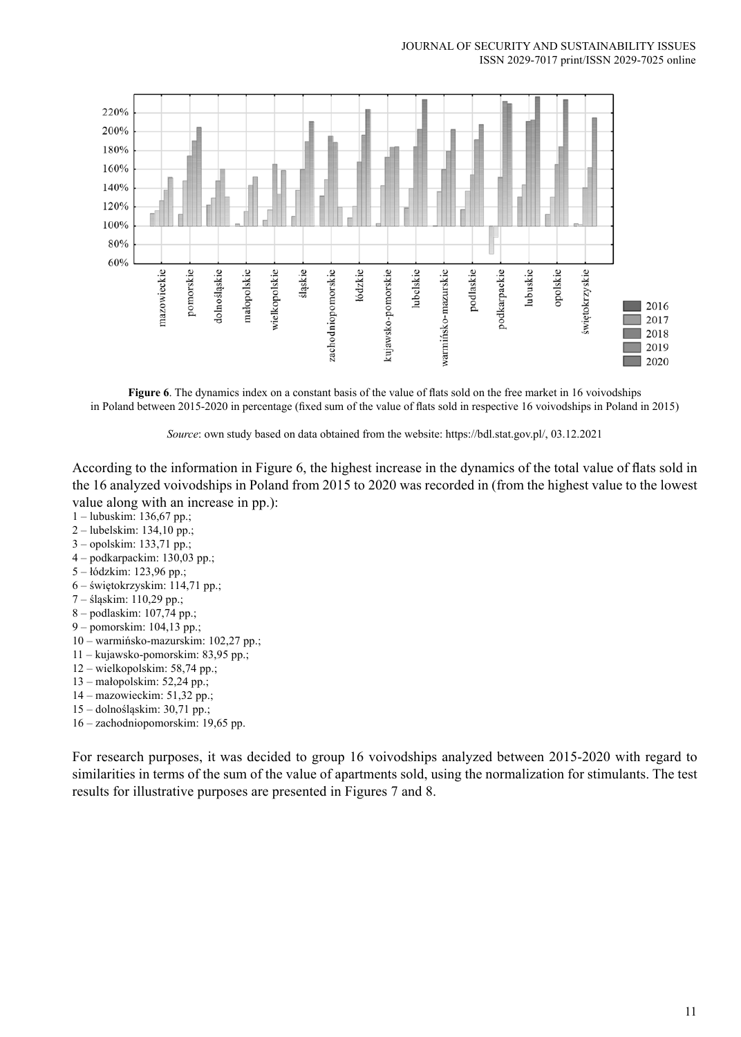

**Figure 6**. The dynamics index on a constant basis of the value of flats sold on the free market in 16 voivodships in Poland between 2015-2020 in percentage (fixed sum of the value of flats sold in respective 16 voivodships in Poland in 2015)

*Source*: own study based on data obtained from the website: https://bdl.stat.gov.pl/, 03.12.2021

According to the information in Figure 6, the highest increase in the dynamics of the total value of flats sold in the 16 analyzed voivodships in Poland from 2015 to 2020 was recorded in (from the highest value to the lowest value along with an increase in pp.):

- 1 lubuskim: 136,67 pp.;
- 2 lubelskim: 134,10 pp.;
- 3 opolskim: 133,71 pp.;
- 4 podkarpackim: 130,03 pp.;
- 5 łódzkim: 123,96 pp.;
- 6 świętokrzyskim: 114,71 pp.;
- 7 śląskim: 110,29 pp.;
- 8 podlaskim: 107,74 pp.;
- 9 pomorskim: 104,13 pp.;
- 10 warmińsko-mazurskim: 102,27 pp.;
- 11 kujawsko-pomorskim: 83,95 pp.;
- 12 wielkopolskim: 58,74 pp.;
- 13 małopolskim: 52,24 pp.;
- 14 mazowieckim: 51,32 pp.;
- 15 dolnośląskim: 30,71 pp.;
- 16 zachodniopomorskim: 19,65 pp.

For research purposes, it was decided to group 16 voivodships analyzed between 2015-2020 with regard to similarities in terms of the sum of the value of apartments sold, using the normalization for stimulants. The test results for illustrative purposes are presented in Figures 7 and 8.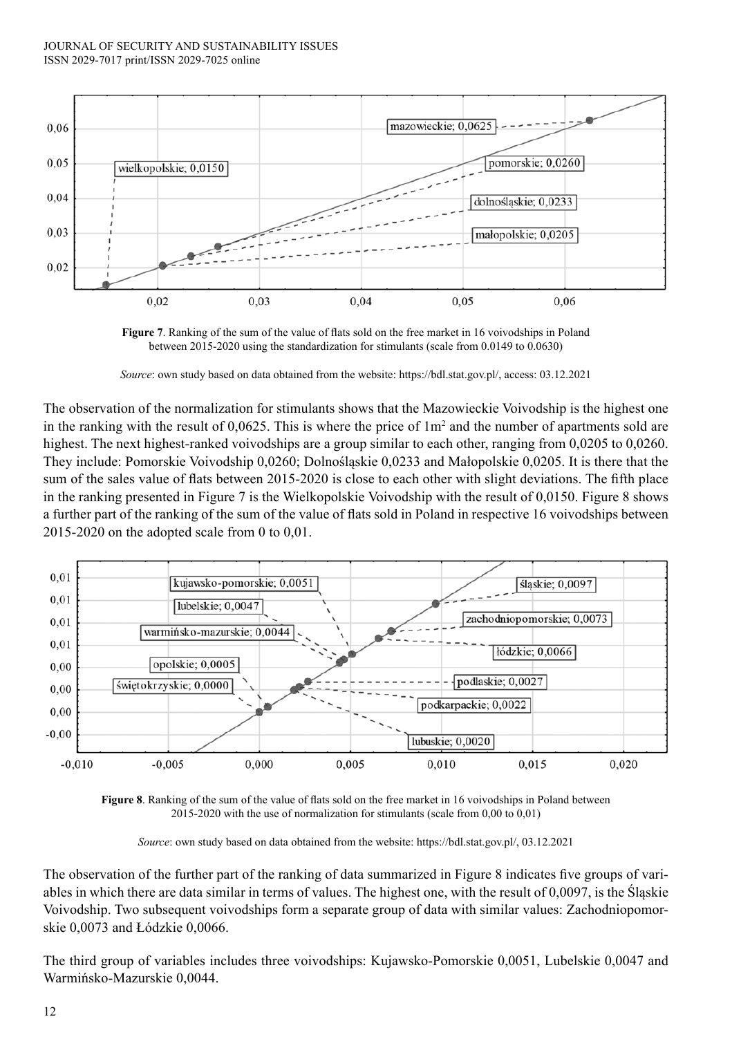

**Figure 7**. Ranking of the sum of the value of flats sold on the free market in 16 voivodships in Poland between 2015-2020 using the standardization for stimulants (scale from 0.0149 to 0.0630)

*Source*: own study based on data obtained from the website: https://bdl.stat.gov.pl/, access: 03.12.2021

The observation of the normalization for stimulants shows that the Mazowieckie Voivodship is the highest one in the ranking with the result of  $0.0625$ . This is where the price of  $1m<sup>2</sup>$  and the number of apartments sold are highest. The next highest-ranked voivodships are a group similar to each other, ranging from 0,0205 to 0,0260. They include: Pomorskie Voivodship 0,0260; Dolnośląskie 0,0233 and Małopolskie 0,0205. It is there that the sum of the sales value of flats between 2015-2020 is close to each other with slight deviations. The fifth place in the ranking presented in Figure 7 is the Wielkopolskie Voivodship with the result of 0,0150. Figure 8 shows a further part of the ranking of the sum of the value of flats sold in Poland in respective 16 voivodships between 2015-2020 on the adopted scale from 0 to 0,01.



**Figure 8**. Ranking of the sum of the value of flats sold on the free market in 16 voivodships in Poland between 2015-2020 with the use of normalization for stimulants (scale from 0,00 to 0,01)

*Source*: own study based on data obtained from the website: https://bdl.stat.gov.pl/, 03.12.2021

The observation of the further part of the ranking of data summarized in Figure 8 indicates five groups of variables in which there are data similar in terms of values. The highest one, with the result of 0,0097, is the Śląskie Voivodship. Two subsequent voivodships form a separate group of data with similar values: Zachodniopomorskie 0,0073 and Łódzkie 0,0066.

The third group of variables includes three voivodships: Kujawsko-Pomorskie 0,0051, Lubelskie 0,0047 and Warmińsko-Mazurskie 0,0044.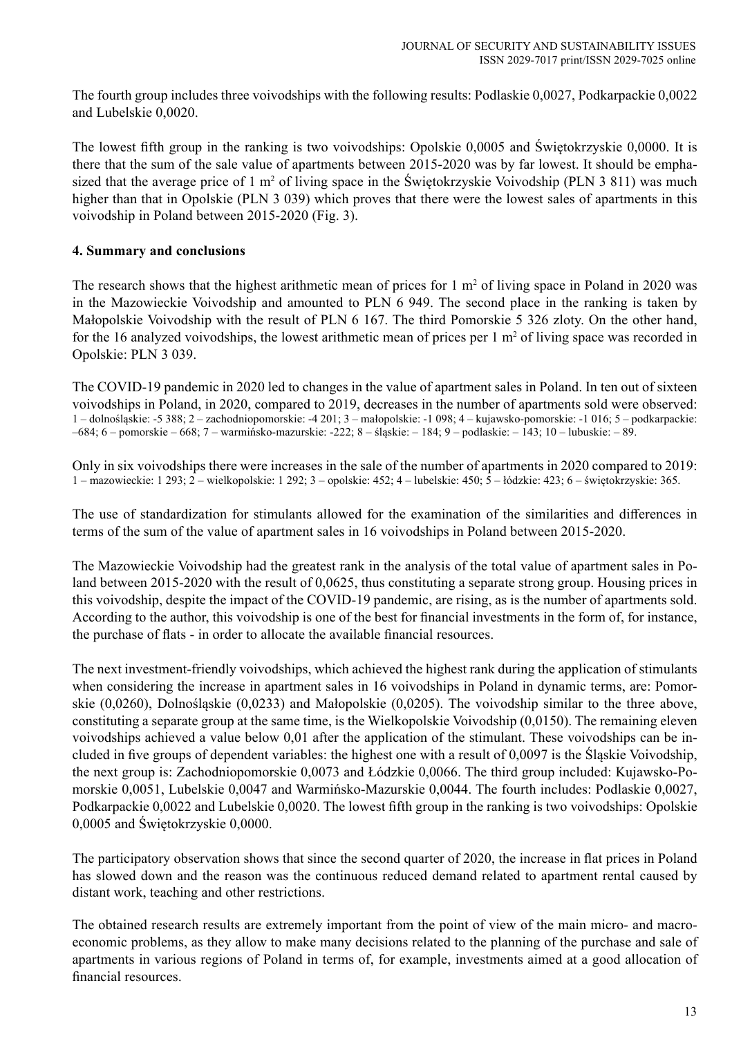The fourth group includes three voivodships with the following results: Podlaskie 0,0027, Podkarpackie 0,0022 and Lubelskie 0,0020.

The lowest fifth group in the ranking is two voivodships: Opolskie 0,0005 and Świętokrzyskie 0,0000. It is there that the sum of the sale value of apartments between 2015-2020 was by far lowest. It should be emphasized that the average price of  $1 \text{ m}^2$  of living space in the Swiętokrzyskie Voivodship (PLN 3 811) was much higher than that in Opolskie (PLN 3 039) which proves that there were the lowest sales of apartments in this voivodship in Poland between 2015-2020 (Fig. 3).

## **4. Summary and conclusions**

The research shows that the highest arithmetic mean of prices for  $1 \text{ m}^2$  of living space in Poland in 2020 was in the Mazowieckie Voivodship and amounted to PLN 6 949. The second place in the ranking is taken by Małopolskie Voivodship with the result of PLN 6 167. The third Pomorskie 5 326 zloty. On the other hand, for the 16 analyzed voivodships, the lowest arithmetic mean of prices per  $1 \text{ m}^2$  of living space was recorded in Opolskie: PLN 3 039.

The COVID-19 pandemic in 2020 led to changes in the value of apartment sales in Poland. In ten out of sixteen voivodships in Poland, in 2020, compared to 2019, decreases in the number of apartments sold were observed: 1 – dolnośląskie: -5 388; 2 – zachodniopomorskie: -4 201; 3 – małopolskie: -1 098; 4 – kujawsko-pomorskie: -1 016; 5 – podkarpackie: –684; 6 – pomorskie – 668; 7 – warmińsko-mazurskie: -222; 8 – śląskie: – 184; 9 – podlaskie: – 143; 10 – lubuskie: – 89.

Only in six voivodships there were increases in the sale of the number of apartments in 2020 compared to 2019: 1 – mazowieckie: 1 293; 2 – wielkopolskie: 1 292; 3 – opolskie: 452; 4 – lubelskie: 450; 5 – łódzkie: 423; 6 – świętokrzyskie: 365.

The use of standardization for stimulants allowed for the examination of the similarities and differences in terms of the sum of the value of apartment sales in 16 voivodships in Poland between 2015-2020.

The Mazowieckie Voivodship had the greatest rank in the analysis of the total value of apartment sales in Poland between 2015-2020 with the result of 0,0625, thus constituting a separate strong group. Housing prices in this voivodship, despite the impact of the COVID-19 pandemic, are rising, as is the number of apartments sold. According to the author, this voivodship is one of the best for financial investments in the form of, for instance, the purchase of flats - in order to allocate the available financial resources.

The next investment-friendly voivodships, which achieved the highest rank during the application of stimulants when considering the increase in apartment sales in 16 voivodships in Poland in dynamic terms, are: Pomorskie (0,0260), Dolnośląskie (0,0233) and Małopolskie (0,0205). The voivodship similar to the three above, constituting a separate group at the same time, is the Wielkopolskie Voivodship (0,0150). The remaining eleven voivodships achieved a value below 0,01 after the application of the stimulant. These voivodships can be included in five groups of dependent variables: the highest one with a result of 0,0097 is the Śląskie Voivodship, the next group is: Zachodniopomorskie 0,0073 and Łódzkie 0,0066. The third group included: Kujawsko-Pomorskie 0,0051, Lubelskie 0,0047 and Warmińsko-Mazurskie 0,0044. The fourth includes: Podlaskie 0,0027, Podkarpackie 0,0022 and Lubelskie 0,0020. The lowest fifth group in the ranking is two voivodships: Opolskie 0,0005 and Świętokrzyskie 0,0000.

The participatory observation shows that since the second quarter of 2020, the increase in flat prices in Poland has slowed down and the reason was the continuous reduced demand related to apartment rental caused by distant work, teaching and other restrictions.

The obtained research results are extremely important from the point of view of the main micro- and macroeconomic problems, as they allow to make many decisions related to the planning of the purchase and sale of apartments in various regions of Poland in terms of, for example, investments aimed at a good allocation of financial resources.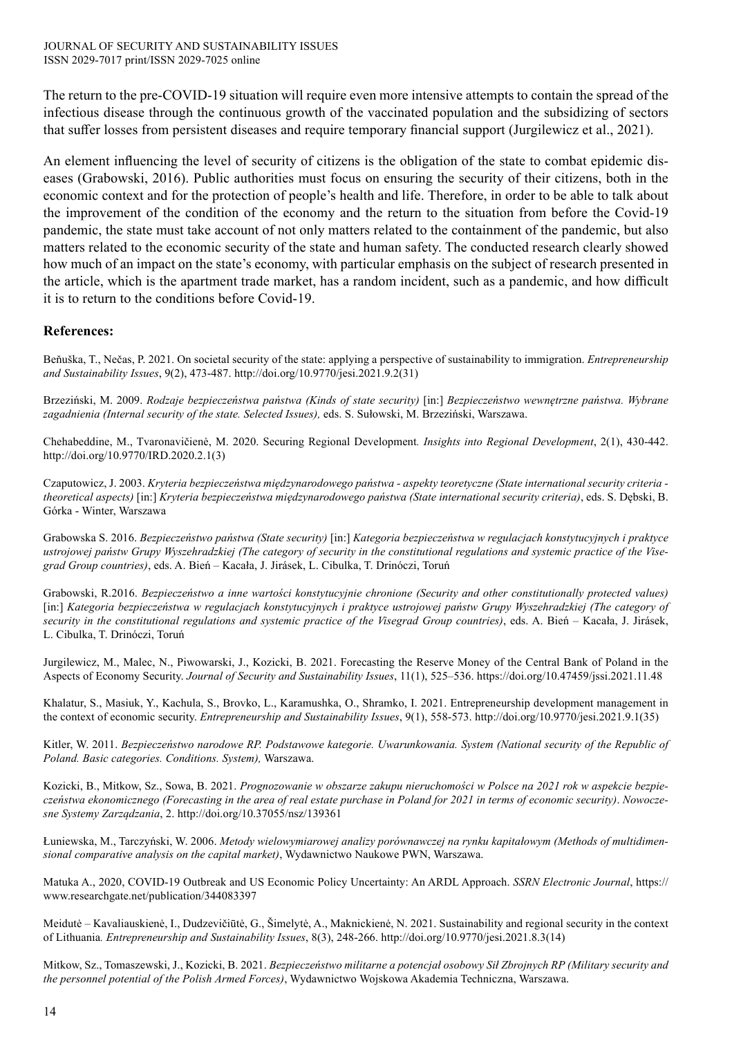The return to the pre-COVID-19 situation will require even more intensive attempts to contain the spread of the infectious disease through the continuous growth of the vaccinated population and the subsidizing of sectors that suffer losses from persistent diseases and require temporary financial support (Jurgilewicz et al., 2021).

An element influencing the level of security of citizens is the obligation of the state to combat epidemic diseases (Grabowski, 2016). Public authorities must focus on ensuring the security of their citizens, both in the economic context and for the protection of people's health and life. Therefore, in order to be able to talk about the improvement of the condition of the economy and the return to the situation from before the Covid-19 pandemic, the state must take account of not only matters related to the containment of the pandemic, but also matters related to the economic security of the state and human safety. The conducted research clearly showed how much of an impact on the state's economy, with particular emphasis on the subject of research presented in the article, which is the apartment trade market, has a random incident, such as a pandemic, and how difficult it is to return to the conditions before Covid-19.

### **References:**

Beňuška, T., Nečas, P. 2021. On societal security of the state: applying a perspective of sustainability to immigration. *Entrepreneurship and Sustainability Issues*, 9(2), 473-487. http://doi.org/10.9770/jesi.2021.9.2(31)

Brzeziński, M. 2009. *Rodzaje bezpieczeństwa państwa (Kinds of state security)* [in:] *Bezpieczeństwo wewnętrzne państwa. Wybrane zagadnienia (Internal security of the state. Selected Issues),* eds. S. Sułowski, M. Brzeziński, Warszawa.

Chehabeddine, M., Tvaronavičienė, M. 2020. Securing Regional Development*. Insights into Regional Development*, 2(1), 430-442. http://doi.org/10.9770/IRD.2020.2.1(3)

Czaputowicz, J. 2003. *Kryteria bezpieczeństwa międzynarodowego państwa - aspekty teoretyczne (State international security criteria theoretical aspects)* [in:] *Kryteria bezpieczeństwa międzynarodowego państwa (State international security criteria)*, eds. S. Dębski, B. Górka - Winter, Warszawa

Grabowska S. 2016. *Bezpieczeństwo państwa (State security)* [in:] *Kategoria bezpieczeństwa w regulacjach konstytucyjnych i praktyce ustrojowej państw Grupy Wyszehradzkiej (The category of security in the constitutional regulations and systemic practice of the Visegrad Group countries)*, eds. A. Bień – Kacała, J. Jirásek, L. Cibulka, T. Drinóczi, Toruń

Grabowski, R.2016. *Bezpieczeństwo a inne wartości konstytucyjnie chronione (Security and other constitutionally protected values)* [in:] *Kategoria bezpieczeństwa w regulacjach konstytucyjnych i praktyce ustrojowej państw Grupy Wyszehradzkiej (The category of security in the constitutional regulations and systemic practice of the Visegrad Group countries)*, eds. A. Bień – Kacała, J. Jirásek, L. Cibulka, T. Drinóczi, Toruń

Jurgilewicz, M., Malec, N., Piwowarski, J., Kozicki, B. 2021. Forecasting the Reserve Money of the Central Bank of Poland in the Aspects of Economy Security. *Journal of Security and Sustainability Issues*, 11(1), 525–536. https://doi.org/10.47459/jssi.2021.11.48

Khalatur, S., Masiuk, Y., Kachula, S., Brovko, L., Karamushka, O., Shramko, I. 2021. Entrepreneurship development management in the context of economic security. *Entrepreneurship and Sustainability Issues*, 9(1), 558-573. http://doi.org/10.9770/jesi.2021.9.1(35)

Kitler, W. 2011. *Bezpieczeństwo narodowe RP. Podstawowe kategorie. Uwarunkowania. System (National security of the Republic of Poland. Basic categories. Conditions. System),* Warszawa.

Kozicki, B., Mitkow, Sz., Sowa, B. 2021. *Prognozowanie w obszarze zakupu nieruchomości w Polsce na 2021 rok w aspekcie bezpieczeństwa ekonomicznego (Forecasting in the area of real estate purchase in Poland for 2021 in terms of economic security)*. *Nowoczesne Systemy Zarządzania*, 2. http://doi.org/10.37055/nsz/139361

Łuniewska, M., Tarczyński, W. 2006. *Metody wielowymiarowej analizy porównawczej na rynku kapitałowym (Methods of multidimensional comparative analysis on the capital market)*, Wydawnictwo Naukowe PWN, Warszawa.

Matuka A., 2020, COVID-19 Outbreak and US Economic Policy Uncertainty: An ARDL Approach. *SSRN Electronic Journal*, https:// www.researchgate.net/publication/344083397

Meidutė – Kavaliauskienė, I., Dudzevičiūtė, G., Šimelytė, A., Maknickienė, N. 2021. Sustainability and regional security in the context of Lithuania*. Entrepreneurship and Sustainability Issues*, 8(3), 248-266. http://doi.org/10.9770/jesi.2021.8.3(14)

Mitkow, Sz., Tomaszewski, J., Kozicki, B. 2021. *Bezpieczeństwo militarne a potencjał osobowy Sił Zbrojnych RP (Military security and the personnel potential of the Polish Armed Forces)*, Wydawnictwo Wojskowa Akademia Techniczna, Warszawa.